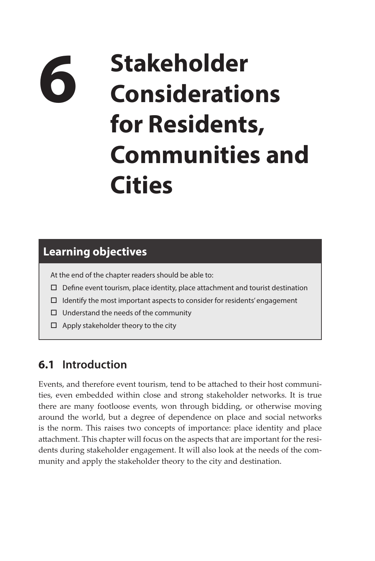# **6 Stakeholder Considerations for Residents, Communities and Cities**

## **Learning objectives**

At the end of the chapter readers should be able to:

- $\square$  Define event tourism, place identity, place attachment and tourist destination
- $\Box$  Identify the most important aspects to consider for residents' engagement
- $\Box$  Understand the needs of the community
- $\Box$  Apply stakeholder theory to the city

## **6.1 Introduction**

Events, and therefore event tourism, tend to be attached to their host communities, even embedded within close and strong stakeholder networks. It is true there are many footloose events, won through bidding, or otherwise moving around the world, but a degree of dependence on place and social networks is the norm. This raises two concepts of importance: place identity and place attachment. This chapter will focus on the aspects that are important for the residents during stakeholder engagement. It will also look at the needs of the community and apply the stakeholder theory to the city and destination.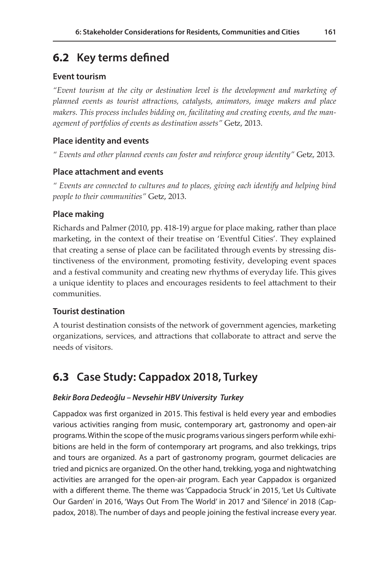## **6.2 Key terms defined**

#### **Event tourism**

*"Event tourism at the city or destination level is the development and marketing of planned events as tourist attractions, catalysts, animators, image makers and place makers. This process includes bidding on, facilitating and creating events, and the management of portfolios of events as destination assets"* Getz, 2013.

### **Place identity and events**

*" Events and other planned events can foster and reinforce group identity"* Getz, 2013.

### **Place attachment and events**

*" Events are connected to cultures and to places, giving each identify and helping bind people to their communities"* Getz, 2013.

#### **Place making**

Richards and Palmer (2010, pp. 418-19) argue for place making, rather than place marketing, in the context of their treatise on 'Eventful Cities'. They explained that creating a sense of place can be facilitated through events by stressing distinctiveness of the environment, promoting festivity, developing event spaces and a festival community and creating new rhythms of everyday life. This gives a unique identity to places and encourages residents to feel attachment to their communities.

#### **Tourist destination**

A tourist destination consists of the network of government agencies, marketing organizations, services, and attractions that collaborate to attract and serve the needs of visitors.

## **6.3 Case Study: Cappadox 2018, Turkey**

#### *Bekir Bora Dedeoğlu – Nevsehir HBV University Turkey*

Cappadox was first organized in 2015. This festival is held every year and embodies various activities ranging from music, contemporary art, gastronomy and open-air programs. Within the scope of the music programs various singers perform while exhibitions are held in the form of contemporary art programs, and also trekkings, trips and tours are organized. As a part of gastronomy program, gourmet delicacies are tried and picnics are organized. On the other hand, trekking, yoga and nightwatching activities are arranged for the open-air program. Each year Cappadox is organized with a different theme. The theme was 'Cappadocia Struck' in 2015, 'Let Us Cultivate Our Garden' in 2016, 'Ways Out From The World' in 2017 and 'Silence' in 2018 (Cappadox, 2018). The number of days and people joining the festival increase every year.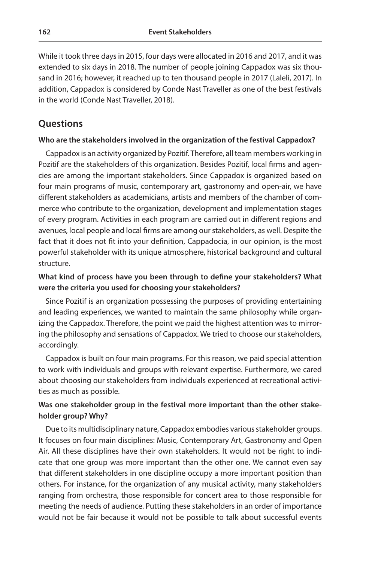While it took three days in 2015, four days were allocated in 2016 and 2017, and it was extended to six days in 2018. The number of people joining Cappadox was six thousand in 2016; however, it reached up to ten thousand people in 2017 (Laleli, 2017). In addition, Cappadox is considered by Conde Nast Traveller as one of the best festivals in the world (Conde Nast Traveller, 2018).

#### **Questions**

#### **Who are the stakeholders involved in the organization of the festival Cappadox?**

Cappadox is an activity organized by Pozitif. Therefore, all team members working in Pozitif are the stakeholders of this organization. Besides Pozitif, local firms and agencies are among the important stakeholders. Since Cappadox is organized based on four main programs of music, contemporary art, gastronomy and open-air, we have different stakeholders as academicians, artists and members of the chamber of commerce who contribute to the organization, development and implementation stages of every program. Activities in each program are carried out in different regions and avenues, local people and local firms are among our stakeholders, as well. Despite the fact that it does not fit into your definition, Cappadocia, in our opinion, is the most powerful stakeholder with its unique atmosphere, historical background and cultural structure.

#### **What kind of process have you been through to define your stakeholders? What were the criteria you used for choosing your stakeholders?**

Since Pozitif is an organization possessing the purposes of providing entertaining and leading experiences, we wanted to maintain the same philosophy while organizing the Cappadox. Therefore, the point we paid the highest attention was to mirroring the philosophy and sensations of Cappadox. We tried to choose our stakeholders, accordingly.

Cappadox is built on four main programs. For this reason, we paid special attention to work with individuals and groups with relevant expertise. Furthermore, we cared about choosing our stakeholders from individuals experienced at recreational activities as much as possible.

#### **Was one stakeholder group in the festival more important than the other stakeholder group? Why?**

Due to its multidisciplinary nature, Cappadox embodies various stakeholder groups. It focuses on four main disciplines: Music, Contemporary Art, Gastronomy and Open Air. All these disciplines have their own stakeholders. It would not be right to indicate that one group was more important than the other one. We cannot even say that different stakeholders in one discipline occupy a more important position than others. For instance, for the organization of any musical activity, many stakeholders ranging from orchestra, those responsible for concert area to those responsible for meeting the needs of audience. Putting these stakeholders in an order of importance would not be fair because it would not be possible to talk about successful events